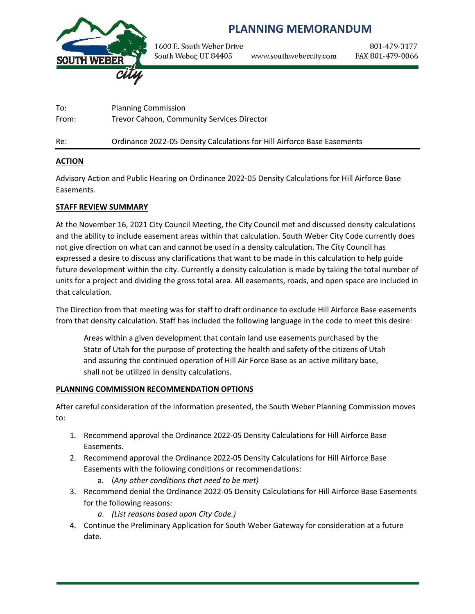

# **PLANNING MEMORANDUM**

1600 E. South Weber Drive South Weber, UT 84405 www.southwebercity.com

801-479-3177 FAX 801-479-0066

To: Planning Commission From: Trevor Cahoon, Community Services Director Re: Ordinance 2022-05 Density Calculations for Hill Airforce Base Easements

#### **ACTION**

Advisory Action and Public Hearing on Ordinance 2022-05 Density Calculations for Hill Airforce Base Easements.

#### **STAFF REVIEW SUMMARY**

At the November 16, 2021 City Council Meeting, the City Council met and discussed density calculations and the ability to include easement areas within that calculation. South Weber City Code currently does not give direction on what can and cannot be used in a density calculation. The City Council has expressed a desire to discuss any clarifications that want to be made in this calculation to help guide future development within the city. Currently a density calculation is made by taking the total number of units for a project and dividing the gross total area. All easements, roads, and open space are included in that calculation.

The Direction from that meeting was for staff to draft ordinance to exclude Hill Airforce Base easements from that density calculation. Staff has included the following language in the code to meet this desire:

Areas within a given development that contain land use easements purchased by the State of Utah for the purpose of protecting the health and safety of the citizens of Utah and assuring the continued operation of Hill Air Force Base as an active military base, shall not be utilized in density calculations.

#### **PLANNING COMMISSION RECOMMENDATION OPTIONS**

After careful consideration of the information presented, the South Weber Planning Commission moves to:

- 1. Recommend approval the Ordinance 2022-05 Density Calculations for Hill Airforce Base Easements.
- 2. Recommend approval the Ordinance 2022-05 Density Calculations for Hill Airforce Base Easements with the following conditions or recommendations:
	- a. (*Any other conditions that need to be met)*
- 3. Recommend denial the Ordinance 2022-05 Density Calculations for Hill Airforce Base Easements for the following reasons:
	- *a. (List reasons based upon City Code.)*
- 4. Continue the Preliminary Application for South Weber Gateway for consideration at a future date.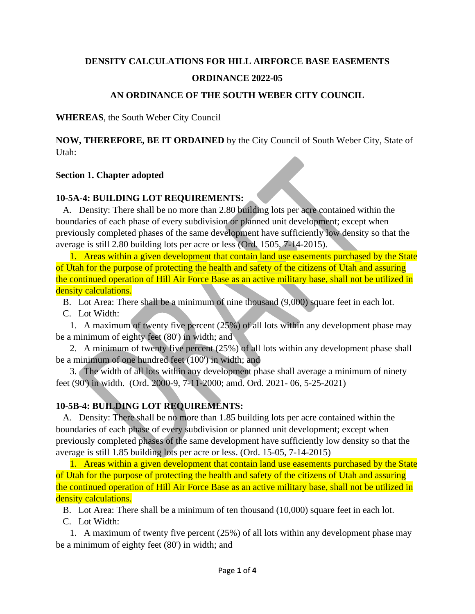## **DENSITY CALCULATIONS FOR HILL AIRFORCE BASE EASEMENTS ORDINANCE 2022-05**

### **AN ORDINANCE OF THE SOUTH WEBER CITY COUNCIL**

**WHEREAS**, the South Weber City Council

**NOW, THEREFORE, BE IT ORDAINED** by the City Council of South Weber City, State of Utah:

### **Section 1. Chapter adopted**

### **10-5A-4: BUILDING LOT REQUIREMENTS:**

 A. Density: There shall be no more than 2.80 building lots per acre contained within the boundaries of each phase of every subdivision or planned unit development; except when previously completed phases of the same development have sufficiently low density so that the average is still 2.80 building lots per acre or less (Ord. 1505, 7-14-2015).

 1. Areas within a given development that contain land use easements purchased by the State of Utah for the purpose of protecting the health and safety of the citizens of Utah and assuring the continued operation of Hill Air Force Base as an active military base, shall not be utilized in density calculations.

B. Lot Area: There shall be a minimum of nine thousand (9,000) square feet in each lot.

C. Lot Width:

 1. A maximum of twenty five percent (25%) of all lots within any development phase may be a minimum of eighty feet (80') in width; and

 2. A minimum of twenty five percent (25%) of all lots within any development phase shall be a minimum of one hundred feet (100') in width; and

 3. The width of all lots within any development phase shall average a minimum of ninety feet (90') in width. (Ord. 2000-9, 7-11-2000; amd. Ord. 2021- 06, 5-25-2021)

## **10-5B-4: BUILDING LOT REQUIREMENTS:**

 A. Density: There shall be no more than 1.85 building lots per acre contained within the boundaries of each phase of every subdivision or planned unit development; except when previously completed phases of the same development have sufficiently low density so that the average is still 1.85 building lots per acre or less. (Ord. 15-05, 7-14-2015)

 1. Areas within a given development that contain land use easements purchased by the State of Utah for the purpose of protecting the health and safety of the citizens of Utah and assuring the continued operation of Hill Air Force Base as an active military base, shall not be utilized in density calculations.

B. Lot Area: There shall be a minimum of ten thousand (10,000) square feet in each lot.

C. Lot Width:

 1. A maximum of twenty five percent (25%) of all lots within any development phase may be a minimum of eighty feet (80') in width; and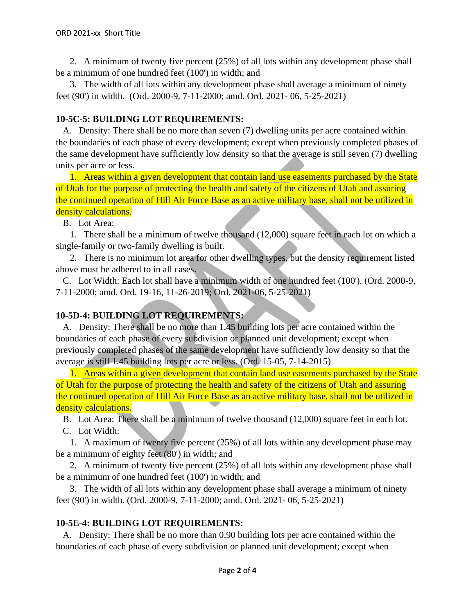2. A minimum of twenty five percent (25%) of all lots within any development phase shall be a minimum of one hundred feet (100') in width; and

 3. The width of all lots within any development phase shall average a minimum of ninety feet (90') in width. (Ord. 2000-9, 7-11-2000; amd. Ord. 2021- 06, 5-25-2021)

### **10-5C-5: BUILDING LOT REQUIREMENTS:**

 A. Density: There shall be no more than seven (7) dwelling units per acre contained within the boundaries of each phase of every development; except when previously completed phases of the same development have sufficiently low density so that the average is still seven (7) dwelling units per acre or less.

 1. Areas within a given development that contain land use easements purchased by the State of Utah for the purpose of protecting the health and safety of the citizens of Utah and assuring the continued operation of Hill Air Force Base as an active military base, shall not be utilized in density calculations.

B. Lot Area:

 1. There shall be a minimum of twelve thousand (12,000) square feet in each lot on which a single-family or two-family dwelling is built.

 2. There is no minimum lot area for other dwelling types, but the density requirement listed above must be adhered to in all cases.

 C. Lot Width: Each lot shall have a minimum width of one hundred feet (100'). (Ord. 2000-9, 7-11-2000; amd. Ord. 19-16, 11-26-2019; Ord. 2021-06, 5-25-2021)

## **10-5D-4: BUILDING LOT REQUIREMENTS:**

 A. Density: There shall be no more than 1.45 building lots per acre contained within the boundaries of each phase of every subdivision or planned unit development; except when previously completed phases of the same development have sufficiently low density so that the average is still 1.45 building lots per acre or less. (Ord. 15-05, 7-14-2015)

 1. Areas within a given development that contain land use easements purchased by the State of Utah for the purpose of protecting the health and safety of the citizens of Utah and assuring the continued operation of Hill Air Force Base as an active military base, shall not be utilized in density calculations.

B. Lot Area: There shall be a minimum of twelve thousand (12,000) square feet in each lot.

C. Lot Width:

 1. A maximum of twenty five percent (25%) of all lots within any development phase may be a minimum of eighty feet (80') in width; and

 2. A minimum of twenty five percent (25%) of all lots within any development phase shall be a minimum of one hundred feet (100') in width; and

 3. The width of all lots within any development phase shall average a minimum of ninety feet (90') in width. (Ord. 2000-9, 7-11-2000; amd. Ord. 2021- 06, 5-25-2021)

### **10-5E-4: BUILDING LOT REQUIREMENTS:**

 A. Density: There shall be no more than 0.90 building lots per acre contained within the boundaries of each phase of every subdivision or planned unit development; except when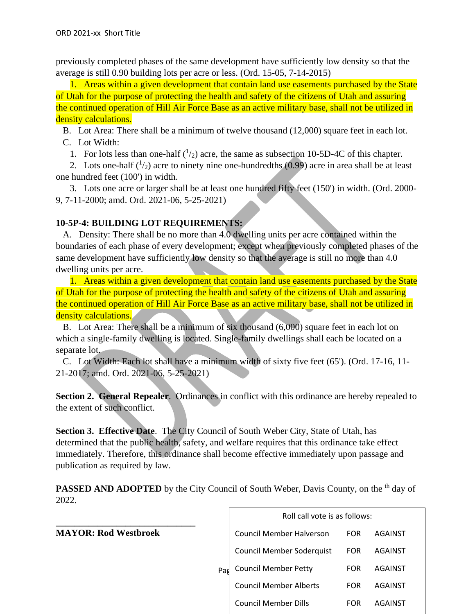previously completed phases of the same development have sufficiently low density so that the average is still 0.90 building lots per acre or less. (Ord. 15-05, 7-14-2015)

 1. Areas within a given development that contain land use easements purchased by the State of Utah for the purpose of protecting the health and safety of the citizens of Utah and assuring the continued operation of Hill Air Force Base as an active military base, shall not be utilized in density calculations.

B. Lot Area: There shall be a minimum of twelve thousand (12,000) square feet in each lot.

C. Lot Width:

1. For lots less than one-half  $(1/2)$  acre, the same as subsection 10-5D-4C of this chapter.

2. Lots one-half  $\binom{1}{2}$  acre to ninety nine one-hundredths (0.99) acre in area shall be at least one hundred feet (100') in width.

 3. Lots one acre or larger shall be at least one hundred fifty feet (150') in width. (Ord. 2000- 9, 7-11-2000; amd. Ord. 2021-06, 5-25-2021)

### **10-5P-4: BUILDING LOT REQUIREMENTS:**

 A. Density: There shall be no more than 4.0 dwelling units per acre contained within the boundaries of each phase of every development; except when previously completed phases of the same development have sufficiently low density so that the average is still no more than 4.0 dwelling units per acre.

 1. Areas within a given development that contain land use easements purchased by the State of Utah for the purpose of protecting the health and safety of the citizens of Utah and assuring the continued operation of Hill Air Force Base as an active military base, shall not be utilized in density calculations.

 B. Lot Area: There shall be a minimum of six thousand (6,000) square feet in each lot on which a single-family dwelling is located. Single-family dwellings shall each be located on a separate lot.

 C. Lot Width: Each lot shall have a minimum width of sixty five feet (65'). (Ord. 17-16, 11- 21-2017; amd. Ord. 2021-06, 5-25-2021)

**Section 2. General Repealer**. Ordinances in conflict with this ordinance are hereby repealed to the extent of such conflict.

**Section 3. Effective Date**. The City Council of South Weber City, State of Utah, has determined that the public health, safety, and welfare requires that this ordinance take effect immediately. Therefore, this ordinance shall become effective immediately upon passage and publication as required by law.

**PASSED AND ADOPTED** by the City Council of South Weber, Davis County, on the <sup>th</sup> day of 2022.

**\_\_\_\_\_\_\_\_\_\_\_\_\_\_\_\_\_\_\_\_\_\_\_\_\_\_\_\_\_\_ MAYOR: Rod Westbroek**

|     | Roll call vote is as follows:    |            |         |  |
|-----|----------------------------------|------------|---------|--|
|     | <b>Council Member Halverson</b>  | <b>FOR</b> | AGAINST |  |
| Pag | <b>Council Member Soderquist</b> | FOR        | AGAINST |  |
|     | <b>Council Member Petty</b>      | FOR        | AGAINST |  |
|     | <b>Council Member Alberts</b>    | EOR        | AGAINST |  |
|     | <b>Council Member Dills</b>      | FOR        | AGAINST |  |